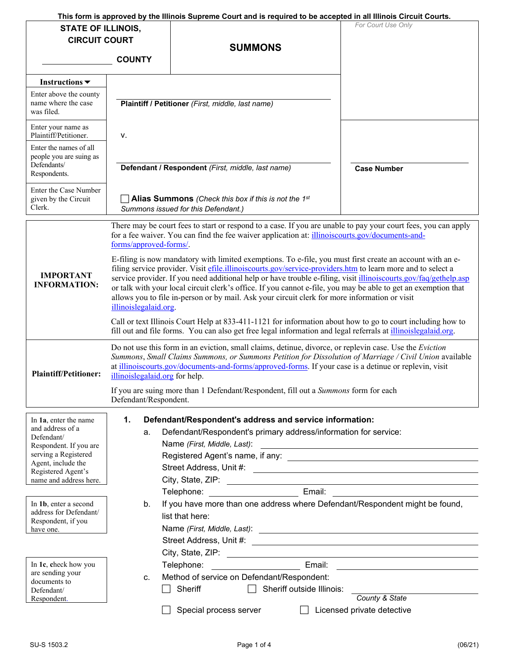|                                                                  |                                                                                                                                                                                                                                                                                                                                                                                                                                                                                                                                                                                                 | This form is approved by the Illinois Supreme Court and is required to be accepted in all Illinois Circuit Courts.                                                                                                | For Court Use Only         |  |
|------------------------------------------------------------------|-------------------------------------------------------------------------------------------------------------------------------------------------------------------------------------------------------------------------------------------------------------------------------------------------------------------------------------------------------------------------------------------------------------------------------------------------------------------------------------------------------------------------------------------------------------------------------------------------|-------------------------------------------------------------------------------------------------------------------------------------------------------------------------------------------------------------------|----------------------------|--|
| <b>STATE OF ILLINOIS,</b>                                        |                                                                                                                                                                                                                                                                                                                                                                                                                                                                                                                                                                                                 |                                                                                                                                                                                                                   |                            |  |
| <b>CIRCUIT COURT</b>                                             |                                                                                                                                                                                                                                                                                                                                                                                                                                                                                                                                                                                                 | <b>SUMMONS</b>                                                                                                                                                                                                    |                            |  |
|                                                                  | <b>COUNTY</b>                                                                                                                                                                                                                                                                                                                                                                                                                                                                                                                                                                                   |                                                                                                                                                                                                                   |                            |  |
|                                                                  |                                                                                                                                                                                                                                                                                                                                                                                                                                                                                                                                                                                                 |                                                                                                                                                                                                                   |                            |  |
| Instructions $\blacktriangledown$                                |                                                                                                                                                                                                                                                                                                                                                                                                                                                                                                                                                                                                 |                                                                                                                                                                                                                   |                            |  |
| Enter above the county<br>name where the case<br>was filed.      |                                                                                                                                                                                                                                                                                                                                                                                                                                                                                                                                                                                                 | Plaintiff / Petitioner (First, middle, last name)                                                                                                                                                                 |                            |  |
| Enter your name as<br>Plaintiff/Petitioner.                      | ν.                                                                                                                                                                                                                                                                                                                                                                                                                                                                                                                                                                                              |                                                                                                                                                                                                                   |                            |  |
| Enter the names of all<br>people you are suing as<br>Defendants/ | Defendant / Respondent (First, middle, last name)<br><b>Case Number</b>                                                                                                                                                                                                                                                                                                                                                                                                                                                                                                                         |                                                                                                                                                                                                                   |                            |  |
| Respondents.                                                     |                                                                                                                                                                                                                                                                                                                                                                                                                                                                                                                                                                                                 |                                                                                                                                                                                                                   |                            |  |
| Enter the Case Number<br>given by the Circuit<br>Clerk.          | <b>Alias Summons</b> (Check this box if this is not the 1st<br>Summons issued for this Defendant.)                                                                                                                                                                                                                                                                                                                                                                                                                                                                                              |                                                                                                                                                                                                                   |                            |  |
|                                                                  | forms/approved-forms/.                                                                                                                                                                                                                                                                                                                                                                                                                                                                                                                                                                          | There may be court fees to start or respond to a case. If you are unable to pay your court fees, you can apply<br>for a fee waiver. You can find the fee waiver application at: illinoiscourts.gov/documents-and- |                            |  |
| <b>IMPORTANT</b><br><b>INFORMATION:</b>                          | E-filing is now mandatory with limited exemptions. To e-file, you must first create an account with an e-<br>filing service provider. Visit effle.illinoiscourts.gov/service-providers.htm to learn more and to select a<br>service provider. If you need additional help or have trouble e-filing, visit <i>illinoiscourts.gov/faq/gethelp.asp</i><br>or talk with your local circuit clerk's office. If you cannot e-file, you may be able to get an exemption that<br>allows you to file in-person or by mail. Ask your circuit clerk for more information or visit<br>illinoislegalaid.org. |                                                                                                                                                                                                                   |                            |  |
|                                                                  | Call or text Illinois Court Help at 833-411-1121 for information about how to go to court including how to<br>fill out and file forms. You can also get free legal information and legal referrals at illinoislegalaid.org.                                                                                                                                                                                                                                                                                                                                                                     |                                                                                                                                                                                                                   |                            |  |
| <b>Plaintiff/Petitioner:</b>                                     | Do not use this form in an eviction, small claims, detinue, divorce, or replevin case. Use the Eviction<br>Summons, Small Claims Summons, or Summons Petition for Dissolution of Marriage / Civil Union available<br>at illinoiscourts.gov/documents-and-forms/approved-forms. If your case is a detinue or replevin, visit<br>illinoislegalaid.org for help.                                                                                                                                                                                                                                   |                                                                                                                                                                                                                   |                            |  |
|                                                                  | If you are suing more than 1 Defendant/Respondent, fill out a Summons form for each<br>Defendant/Respondent.                                                                                                                                                                                                                                                                                                                                                                                                                                                                                    |                                                                                                                                                                                                                   |                            |  |
| In 1a, enter the name                                            | 1.                                                                                                                                                                                                                                                                                                                                                                                                                                                                                                                                                                                              | Defendant/Respondent's address and service information:                                                                                                                                                           |                            |  |
| and address of a                                                 | a.                                                                                                                                                                                                                                                                                                                                                                                                                                                                                                                                                                                              | Defendant/Respondent's primary address/information for service:                                                                                                                                                   |                            |  |
| Defendant/<br>Respondent. If you are                             |                                                                                                                                                                                                                                                                                                                                                                                                                                                                                                                                                                                                 | Name (First, Middle, Last):                                                                                                                                                                                       |                            |  |
| serving a Registered                                             |                                                                                                                                                                                                                                                                                                                                                                                                                                                                                                                                                                                                 |                                                                                                                                                                                                                   |                            |  |
| Agent, include the<br>Registered Agent's                         |                                                                                                                                                                                                                                                                                                                                                                                                                                                                                                                                                                                                 |                                                                                                                                                                                                                   |                            |  |
| name and address here.                                           |                                                                                                                                                                                                                                                                                                                                                                                                                                                                                                                                                                                                 | City, State, ZIP: 2008. Express and City, State, ZIP: 2008. Express and City Analysis and City Analysis and City                                                                                                  |                            |  |
|                                                                  |                                                                                                                                                                                                                                                                                                                                                                                                                                                                                                                                                                                                 |                                                                                                                                                                                                                   |                            |  |
| In 1b, enter a second                                            | b.                                                                                                                                                                                                                                                                                                                                                                                                                                                                                                                                                                                              | If you have more than one address where Defendant/Respondent might be found,                                                                                                                                      |                            |  |
| address for Defendant/<br>Respondent, if you                     |                                                                                                                                                                                                                                                                                                                                                                                                                                                                                                                                                                                                 | list that here:                                                                                                                                                                                                   |                            |  |
| have one.                                                        |                                                                                                                                                                                                                                                                                                                                                                                                                                                                                                                                                                                                 |                                                                                                                                                                                                                   |                            |  |
|                                                                  |                                                                                                                                                                                                                                                                                                                                                                                                                                                                                                                                                                                                 |                                                                                                                                                                                                                   |                            |  |
|                                                                  |                                                                                                                                                                                                                                                                                                                                                                                                                                                                                                                                                                                                 |                                                                                                                                                                                                                   |                            |  |
| In 1c, check how you                                             |                                                                                                                                                                                                                                                                                                                                                                                                                                                                                                                                                                                                 | Email:<br>Telephone:                                                                                                                                                                                              |                            |  |
| are sending your<br>documents to                                 | c.                                                                                                                                                                                                                                                                                                                                                                                                                                                                                                                                                                                              | Method of service on Defendant/Respondent:                                                                                                                                                                        |                            |  |
| Defendant/                                                       |                                                                                                                                                                                                                                                                                                                                                                                                                                                                                                                                                                                                 | Sheriff<br>Sheriff outside Illinois:                                                                                                                                                                              |                            |  |
| Respondent.                                                      |                                                                                                                                                                                                                                                                                                                                                                                                                                                                                                                                                                                                 |                                                                                                                                                                                                                   | County & State             |  |
|                                                                  |                                                                                                                                                                                                                                                                                                                                                                                                                                                                                                                                                                                                 | Special process server                                                                                                                                                                                            | Licensed private detective |  |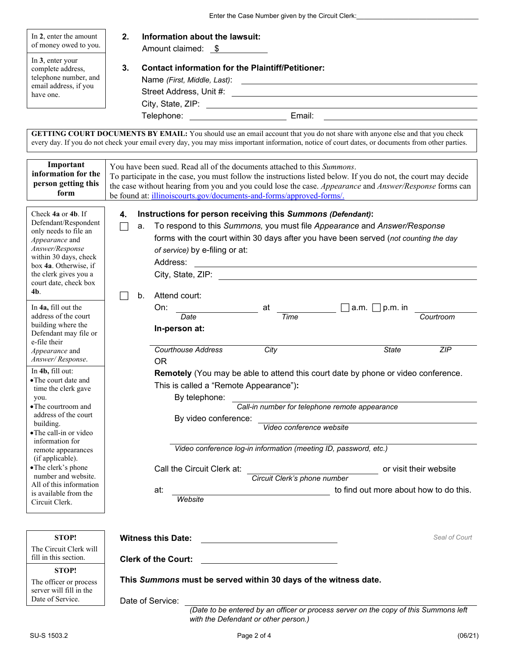Enter the Case Number given by the Circuit Clerk:

| In 2, enter the amount<br>of money owed to you.<br>In 3, enter your<br>complete address,<br>telephone number, and<br>email address, if you<br>have one.                                                                                                                                                                                                                                                                                                                                                                                                                                                                                                                                                                          | 2.<br>Information about the lawsuit:<br>Amount claimed: \$<br>3.<br><b>Contact information for the Plaintiff/Petitioner:</b><br>Telephone: _________________________________ Email: ____________________________                                                                                                                                                                                                                                                                                                                                                                                                                                                                                                                                                                                                                                                                                                                                                                                                                                                                         |  |  |
|----------------------------------------------------------------------------------------------------------------------------------------------------------------------------------------------------------------------------------------------------------------------------------------------------------------------------------------------------------------------------------------------------------------------------------------------------------------------------------------------------------------------------------------------------------------------------------------------------------------------------------------------------------------------------------------------------------------------------------|------------------------------------------------------------------------------------------------------------------------------------------------------------------------------------------------------------------------------------------------------------------------------------------------------------------------------------------------------------------------------------------------------------------------------------------------------------------------------------------------------------------------------------------------------------------------------------------------------------------------------------------------------------------------------------------------------------------------------------------------------------------------------------------------------------------------------------------------------------------------------------------------------------------------------------------------------------------------------------------------------------------------------------------------------------------------------------------|--|--|
|                                                                                                                                                                                                                                                                                                                                                                                                                                                                                                                                                                                                                                                                                                                                  | GETTING COURT DOCUMENTS BY EMAIL: You should use an email account that you do not share with anyone else and that you check<br>every day. If you do not check your email every day, you may miss important information, notice of court dates, or documents from other parties.                                                                                                                                                                                                                                                                                                                                                                                                                                                                                                                                                                                                                                                                                                                                                                                                          |  |  |
| Important<br>information for the<br>person getting this<br>form                                                                                                                                                                                                                                                                                                                                                                                                                                                                                                                                                                                                                                                                  | You have been sued. Read all of the documents attached to this Summons.<br>To participate in the case, you must follow the instructions listed below. If you do not, the court may decide<br>the case without hearing from you and you could lose the case. Appearance and Answer/Response forms can<br>be found at: illinoiscourts.gov/documents-and-forms/approved-forms/.                                                                                                                                                                                                                                                                                                                                                                                                                                                                                                                                                                                                                                                                                                             |  |  |
| Check 4a or 4b. If<br>Defendant/Respondent<br>only needs to file an<br>Appearance and<br>Answer/Response<br>within 30 days, check<br>box 4a. Otherwise, if<br>the clerk gives you a<br>court date, check box<br>4b.<br>In 4a, fill out the<br>address of the court<br>building where the<br>Defendant may file or<br>e-file their<br><i>Appearance</i> and<br>Answer/Response.<br>In 4b, fill out:<br>• The court date and<br>time the clerk gave<br>you.<br>• The courtroom and<br>address of the court<br>building.<br>• The call-in or video<br>information for<br>remote appearances<br>(if applicable).<br>• The clerk's phone<br>number and website.<br>All of this information<br>is available from the<br>Circuit Clerk. | Instructions for person receiving this Summons (Defendant):<br>4.<br>To respond to this Summons, you must file Appearance and Answer/Response<br>a.<br>forms with the court within 30 days after you have been served (not counting the day<br>of service) by e-filing or at:<br>Address:<br><u> Alexandria de la contrada de la contrada de la contrada de la contrada de la contrada de la contrada de la c</u><br>Attend court:<br>b.<br>$\Box$ a.m. $\Box$ p.m. in<br>On:<br>at<br>Date<br>Time<br>Courtroom<br>In-person at:<br><b>Courthouse Address</b><br>City<br><b>State</b><br>ZIP<br><b>OR</b><br>Remotely (You may be able to attend this court date by phone or video conference.<br>This is called a "Remote Appearance"):<br>By telephone:<br>Call-in number for telephone remote appearance<br>By video conference:<br>Video conference website<br>Video conference log-in information (meeting ID, password, etc.)<br>Call the Circuit Clerk at:<br>or visit their website<br>Circuit Clerk's phone number<br>to find out more about how to do this.<br>at:<br>Website |  |  |
| STOP!<br>The Circuit Clerk will                                                                                                                                                                                                                                                                                                                                                                                                                                                                                                                                                                                                                                                                                                  | Seal of Court<br><b>Witness this Date:</b>                                                                                                                                                                                                                                                                                                                                                                                                                                                                                                                                                                                                                                                                                                                                                                                                                                                                                                                                                                                                                                               |  |  |
| fill in this section.                                                                                                                                                                                                                                                                                                                                                                                                                                                                                                                                                                                                                                                                                                            | <b>Clerk of the Court:</b>                                                                                                                                                                                                                                                                                                                                                                                                                                                                                                                                                                                                                                                                                                                                                                                                                                                                                                                                                                                                                                                               |  |  |
| <b>STOP!</b><br>The officer or process<br>server will fill in the<br>Date of Service.                                                                                                                                                                                                                                                                                                                                                                                                                                                                                                                                                                                                                                            | This Summons must be served within 30 days of the witness date.                                                                                                                                                                                                                                                                                                                                                                                                                                                                                                                                                                                                                                                                                                                                                                                                                                                                                                                                                                                                                          |  |  |
|                                                                                                                                                                                                                                                                                                                                                                                                                                                                                                                                                                                                                                                                                                                                  | Date of Service:<br>(Date to be entered by an officer or process server on the copy of this Summons left                                                                                                                                                                                                                                                                                                                                                                                                                                                                                                                                                                                                                                                                                                                                                                                                                                                                                                                                                                                 |  |  |

*with the Defendant or other person.)*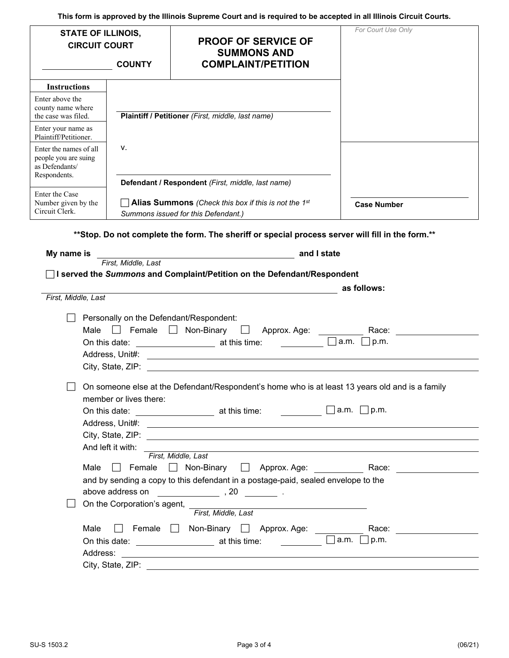|                                                                                  |                                                           | This form is approved by the Illinois Supreme Court and is required to be accepted in all Illinois Circuit Courts.       |                          |
|----------------------------------------------------------------------------------|-----------------------------------------------------------|--------------------------------------------------------------------------------------------------------------------------|--------------------------|
| <b>STATE OF ILLINOIS,</b><br><b>CIRCUIT COURT</b>                                | <b>COUNTY</b>                                             | <b>PROOF OF SERVICE OF</b><br><b>SUMMONS AND</b><br><b>COMPLAINT/PETITION</b>                                            | For Court Use Only       |
|                                                                                  |                                                           |                                                                                                                          |                          |
| <b>Instructions</b>                                                              |                                                           |                                                                                                                          |                          |
| Enter above the                                                                  |                                                           |                                                                                                                          |                          |
| county name where<br>the case was filed.                                         |                                                           | Plaintiff / Petitioner (First, middle, last name)                                                                        |                          |
| Enter your name as<br>Plaintiff/Petitioner.                                      |                                                           |                                                                                                                          |                          |
| Enter the names of all<br>people you are suing<br>as Defendants/<br>Respondents. | ν.                                                        |                                                                                                                          |                          |
|                                                                                  |                                                           | Defendant / Respondent (First, middle, last name)                                                                        |                          |
| Enter the Case<br>Number given by the<br>Circuit Clerk.                          |                                                           | $\Box$ Alias Summons (Check this box if this is not the 1st<br>Summons issued for this Defendant.)                       | <b>Case Number</b>       |
|                                                                                  |                                                           | ** Stop. Do not complete the form. The sheriff or special process server will fill in the form. **                       |                          |
| My name is                                                                       |                                                           | and I state                                                                                                              |                          |
|                                                                                  | First, Middle, Last                                       |                                                                                                                          |                          |
|                                                                                  |                                                           | □ I served the Summons and Complaint/Petition on the Defendant/Respondent                                                |                          |
| First, Middle, Last                                                              |                                                           |                                                                                                                          | as follows:              |
|                                                                                  |                                                           |                                                                                                                          |                          |
|                                                                                  |                                                           | Personally on the Defendant/Respondent:                                                                                  |                          |
| Male                                                                             | $\Box$ Female $\Box$                                      |                                                                                                                          | Race: <b>Race: Race:</b> |
|                                                                                  |                                                           | On this date: <u>___________________</u> at this time: ____________<br>$\vert \ \ \vert$                                 | a.m.<br> p.m.            |
|                                                                                  |                                                           |                                                                                                                          |                          |
|                                                                                  |                                                           |                                                                                                                          |                          |
|                                                                                  | member or lives there:                                    | On someone else at the Defendant/Respondent's home who is at least 13 years old and is a family                          |                          |
|                                                                                  |                                                           | On this date: $\frac{1}{\sqrt{2\pi}}$ at this time: $\frac{1}{\sqrt{2\pi}}$ a.m. $\frac{1}{\sqrt{2}}$ p.m.               |                          |
|                                                                                  |                                                           |                                                                                                                          |                          |
|                                                                                  |                                                           |                                                                                                                          |                          |
|                                                                                  | And left it with: ______                                  |                                                                                                                          |                          |
|                                                                                  |                                                           | First, Middle, Last                                                                                                      |                          |
|                                                                                  |                                                           | Male Female Non-Binary Approx. Age:<br>and by sending a copy to this defendant in a postage-paid, sealed envelope to the | Race: _________________  |
|                                                                                  |                                                           | above address on $\qquad \qquad \overline{\qquad}$ , 20 $\qquad \qquad$ .                                                |                          |
|                                                                                  |                                                           |                                                                                                                          |                          |
|                                                                                  |                                                           | First, Middle, Last                                                                                                      |                          |
| Male                                                                             |                                                           | Female Non-Binary Approx. Age: Non-Binary Approx. Age:                                                                   | Race: _____________      |
|                                                                                  |                                                           |                                                                                                                          | $ a.m. $   $ p.m. $      |
|                                                                                  |                                                           |                                                                                                                          |                          |
|                                                                                  | City, State, ZIP: William State of The City, State, 2014. |                                                                                                                          |                          |